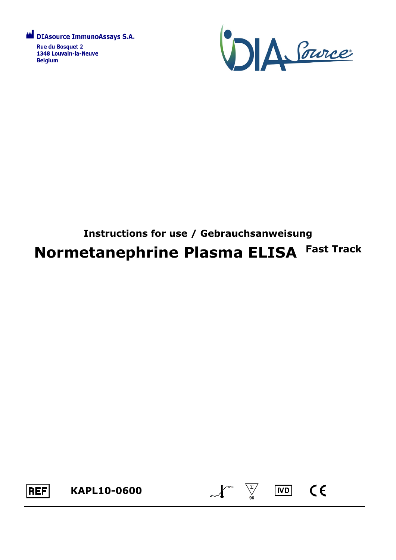



# **Instructions for use / Gebrauchsanweisung Normetanephrine Plasma ELISA Fast Track**



 $\sum_{2^{n}C}$   $\sqrt{\sum_{96}^{8^{n}C}}$ 

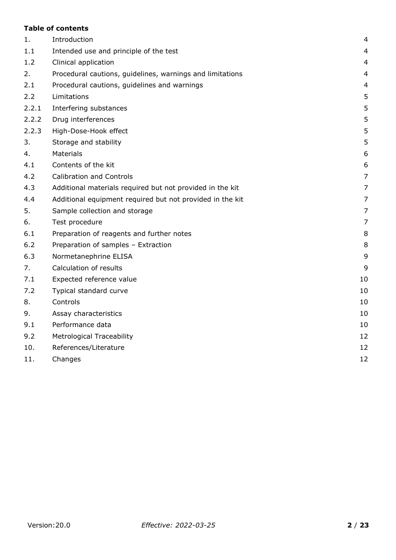## **Table of contents**

| 1.    | Introduction                                              | $\overline{4}$ |
|-------|-----------------------------------------------------------|----------------|
| 1.1   | Intended use and principle of the test                    | $\overline{4}$ |
| 1.2   | Clinical application                                      | $\overline{4}$ |
| 2.    | Procedural cautions, guidelines, warnings and limitations | $\overline{4}$ |
| 2.1   | Procedural cautions, guidelines and warnings              | $\overline{4}$ |
| 2.2   | Limitations                                               | 5              |
| 2.2.1 | Interfering substances                                    | 5              |
| 2.2.2 | Drug interferences                                        | 5              |
| 2.2.3 | High-Dose-Hook effect                                     | 5              |
| 3.    | Storage and stability                                     | 5              |
| 4.    | Materials                                                 | 6              |
| 4.1   | Contents of the kit                                       | 6              |
| 4.2   | <b>Calibration and Controls</b>                           | $\overline{7}$ |
| 4.3   | Additional materials required but not provided in the kit | 7              |
| 4.4   | Additional equipment required but not provided in the kit | $\overline{7}$ |
| 5.    | Sample collection and storage                             | $\overline{7}$ |
| 6.    | Test procedure                                            | $\overline{7}$ |
| 6.1   | Preparation of reagents and further notes                 | 8              |
| 6.2   | Preparation of samples - Extraction                       | 8              |
| 6.3   | Normetanephrine ELISA                                     | 9              |
| 7.    | Calculation of results                                    | 9              |
| 7.1   | Expected reference value                                  | 10             |
| 7.2   | Typical standard curve                                    | 10             |
| 8.    | Controls                                                  | 10             |
| 9.    | Assay characteristics                                     | 10             |
| 9.1   | Performance data                                          | 10             |
| 9.2   | <b>Metrological Traceability</b>                          | 12             |
| 10.   | References/Literature                                     | 12             |
| 11.   | Changes                                                   | 12             |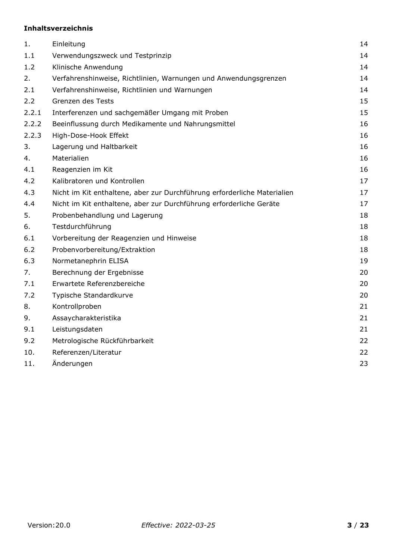# **Inhaltsverzeichnis**

| 1.    | Einleitung                                                               | 14 |
|-------|--------------------------------------------------------------------------|----|
| 1.1   | Verwendungszweck und Testprinzip                                         | 14 |
| 1.2   | Klinische Anwendung                                                      | 14 |
| 2.    | Verfahrenshinweise, Richtlinien, Warnungen und Anwendungsgrenzen         | 14 |
| 2.1   | Verfahrenshinweise, Richtlinien und Warnungen                            | 14 |
| 2.2   | Grenzen des Tests                                                        | 15 |
| 2.2.1 | Interferenzen und sachgemäßer Umgang mit Proben                          | 15 |
| 2.2.2 | Beeinflussung durch Medikamente und Nahrungsmittel                       | 16 |
| 2.2.3 | High-Dose-Hook Effekt                                                    | 16 |
| 3.    | Lagerung und Haltbarkeit                                                 | 16 |
| 4.    | Materialien                                                              | 16 |
| 4.1   | Reagenzien im Kit                                                        | 16 |
| 4.2   | Kalibratoren und Kontrollen                                              | 17 |
| 4.3   | Nicht im Kit enthaltene, aber zur Durchführung erforderliche Materialien | 17 |
| 4.4   | Nicht im Kit enthaltene, aber zur Durchführung erforderliche Geräte      | 17 |
| 5.    | Probenbehandlung und Lagerung                                            | 18 |
| 6.    | Testdurchführung                                                         | 18 |
| 6.1   | Vorbereitung der Reagenzien und Hinweise                                 | 18 |
| 6.2   | Probenvorbereitung/Extraktion                                            | 18 |
| 6.3   | Normetanephrin ELISA                                                     | 19 |
| 7.    | Berechnung der Ergebnisse                                                | 20 |
| 7.1   | Erwartete Referenzbereiche                                               | 20 |
| 7.2   | Typische Standardkurve                                                   | 20 |
| 8.    | Kontrollproben                                                           | 21 |
| 9.    | Assaycharakteristika                                                     | 21 |
| 9.1   | Leistungsdaten                                                           | 21 |
| 9.2   | Metrologische Rückführbarkeit                                            | 22 |
| 10.   | Referenzen/Literatur                                                     | 22 |
| 11.   | Änderungen                                                               | 23 |
|       |                                                                          |    |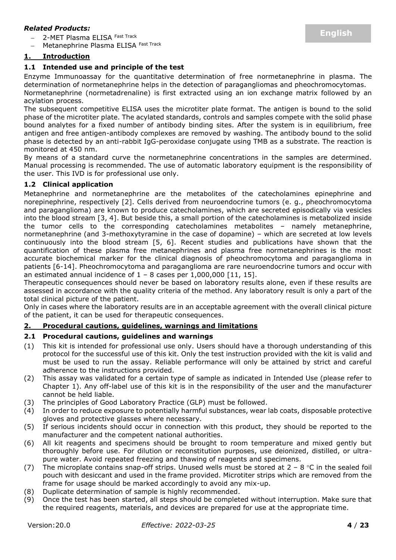#### *Related Products:*

2-MET Plasma ELISA Fast Track

Metanephrine Plasma ELISA Fast Track

## <span id="page-3-0"></span>**1. Introduction**

## <span id="page-3-1"></span>**1.1 Intended use and principle of the test**

Enzyme Immunoassay for the quantitative determination of free normetanephrine in plasma. The determination of normetanephrine helps in the detection of paragangliomas and pheochromocytomas.

Normetanephrine (normetadrenaline) is first extracted using an ion exchange matrix followed by an acylation process.

The subsequent competitive ELISA uses the microtiter plate format. The antigen is bound to the solid phase of the microtiter plate. The acylated standards, controls and samples compete with the solid phase bound analytes for a fixed number of antibody binding sites. After the system is in equilibrium, free antigen and free antigen-antibody complexes are removed by washing. The antibody bound to the solid phase is detected by an anti-rabbit IgG-peroxidase conjugate using TMB as a substrate. The reaction is monitored at 450 nm.

By means of a standard curve the normetanephrine concentrations in the samples are determined. Manual processing is recommended. The use of automatic laboratory equipment is the responsibility of the user. This IVD is for professional use only.

#### <span id="page-3-2"></span>**1.2 Clinical application**

Metanephrine and normetanephrine are the metabolites of the catecholamines epinephrine and norepinephrine, respectively [2]. Cells derived from neuroendocrine tumors (e. g., pheochromocytoma and paraganglioma) are known to produce catecholamines, which are secreted episodically via vesicles into the blood stream [3, 4]. But beside this, a small portion of the catecholamines is metabolized inside the tumor cells to the corresponding catecholamines metabolites – namely metanephrine, normetanephrine (and 3-methoxytyramine in the case of dopamine) – which are secreted at low levels continuously into the blood stream [5, 6]. Recent studies and publications have shown that the quantification of these plasma free metanephrines and plasma free normetanephrines is the most accurate biochemical marker for the clinical diagnosis of pheochromocytoma and paraganglioma in patients [6-14]. Pheochromocytoma and paraganglioma are rare neuroendocrine tumors and occur with an estimated annual incidence of  $1 - 8$  cases per 1,000,000 [11, 15].

Therapeutic consequences should never be based on laboratory results alone, even if these results are assessed in accordance with the quality criteria of the method. Any laboratory result is only a part of the total clinical picture of the patient.

Only in cases where the laboratory results are in an acceptable agreement with the overall clinical picture of the patient, it can be used for therapeutic consequences.

## <span id="page-3-3"></span>**2. Procedural cautions, guidelines, warnings and limitations**

#### <span id="page-3-4"></span>**2.1 Procedural cautions, guidelines and warnings**

- (1) This kit is intended for professional use only. Users should have a thorough understanding of this protocol for the successful use of this kit. Only the test instruction provided with the kit is valid and must be used to run the assay. Reliable performance will only be attained by strict and careful adherence to the instructions provided.
- (2) This assay was validated for a certain type of sample as indicated in Intended Use (please refer to Chapter 1). Any off-label use of this kit is in the responsibility of the user and the manufacturer cannot be held liable.
- (3) The principles of Good Laboratory Practice (GLP) must be followed.
- (4) In order to reduce exposure to potentially harmful substances, wear lab coats, disposable protective gloves and protective glasses where necessary.
- (5) If serious incidents should occur in connection with this product, they should be reported to the manufacturer and the competent national authorities.
- (6) All kit reagents and specimens should be brought to room temperature and mixed gently but thoroughly before use. For dilution or reconstitution purposes, use deionized, distilled, or ultrapure water. Avoid repeated freezing and thawing of reagents and specimens.
- (7) The microplate contains snap-off strips. Unused wells must be stored at  $2 8$  °C in the sealed foil pouch with desiccant and used in the frame provided. Microtiter strips which are removed from the frame for usage should be marked accordingly to avoid any mix-up.
- (8) Duplicate determination of sample is highly recommended.
- (9) Once the test has been started, all steps should be completed without interruption. Make sure that the required reagents, materials, and devices are prepared for use at the appropriate time.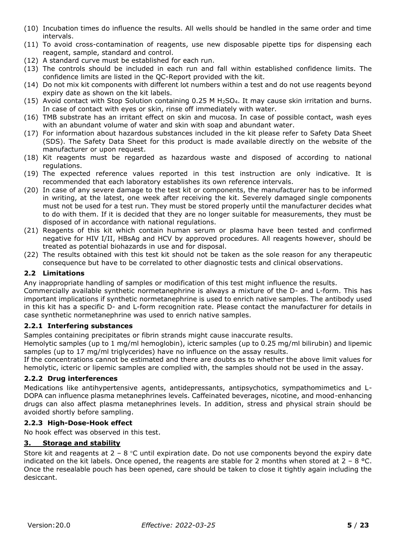- (10) Incubation times do influence the results. All wells should be handled in the same order and time intervals.
- (11) To avoid cross-contamination of reagents, use new disposable pipette tips for dispensing each reagent, sample, standard and control.
- (12) A standard curve must be established for each run.
- (13) The controls should be included in each run and fall within established confidence limits. The confidence limits are listed in the QC-Report provided with the kit.
- (14) Do not mix kit components with different lot numbers within a test and do not use reagents beyond expiry date as shown on the kit labels.
- (15) Avoid contact with Stop Solution containing 0.25 M H2SO4. It may cause skin irritation and burns. In case of contact with eyes or skin, rinse off immediately with water.
- (16) TMB substrate has an irritant effect on skin and mucosa. In case of possible contact, wash eyes with an abundant volume of water and skin with soap and abundant water.
- (17) For information about hazardous substances included in the kit please refer to Safety Data Sheet (SDS). The Safety Data Sheet for this product is made available directly on the website of the manufacturer or upon request.
- (18) Kit reagents must be regarded as hazardous waste and disposed of according to national regulations.
- (19) The expected reference values reported in this test instruction are only indicative. It is recommended that each laboratory establishes its own reference intervals.
- (20) In case of any severe damage to the test kit or components, the manufacturer has to be informed in writing, at the latest, one week after receiving the kit. Severely damaged single components must not be used for a test run. They must be stored properly until the manufacturer decides what to do with them. If it is decided that they are no longer suitable for measurements, they must be disposed of in accordance with national regulations.
- (21) Reagents of this kit which contain human serum or plasma have been tested and confirmed negative for HIV I/II, HBsAg and HCV by approved procedures. All reagents however, should be treated as potential biohazards in use and for disposal.
- (22) The results obtained with this test kit should not be taken as the sole reason for any therapeutic consequence but have to be correlated to other diagnostic tests and clinical observations.

#### <span id="page-4-0"></span>**2.2 Limitations**

Any inappropriate handling of samples or modification of this test might influence the results.

Commercially available synthetic normetanephrine is always a mixture of the D- and L-form. This has important implications if synthetic normetanephrine is used to enrich native samples. The antibody used in this kit has a specific D- and L-form recognition rate. Please contact the manufacturer for details in case synthetic normetanephrine was used to enrich native samples.

#### <span id="page-4-1"></span>**2.2.1 Interfering substances**

Samples containing precipitates or fibrin strands might cause inaccurate results.

Hemolytic samples (up to 1 mg/ml hemoglobin), icteric samples (up to 0.25 mg/ml bilirubin) and lipemic samples (up to 17 mg/ml triglycerides) have no influence on the assay results.

If the concentrations cannot be estimated and there are doubts as to whether the above limit values for hemolytic, icteric or lipemic samples are complied with, the samples should not be used in the assay.

#### <span id="page-4-2"></span>**2.2.2 Drug interferences**

Medications like antihypertensive agents, antidepressants, antipsychotics, sympathomimetics and L-DOPA can influence plasma metanephrines levels. Caffeinated beverages, nicotine, and mood-enhancing drugs can also affect plasma metanephrines levels. In addition, stress and physical strain should be avoided shortly before sampling.

#### <span id="page-4-3"></span>**2.2.3 High-Dose-Hook effect**

No hook effect was observed in this test.

#### <span id="page-4-4"></span>**3. Storage and stability**

<span id="page-4-5"></span>Store kit and reagents at  $2 - 8$  °C until expiration date. Do not use components beyond the expiry date indicated on the kit labels. Once opened, the reagents are stable for 2 months when stored at  $2 - 8$  °C. Once the resealable pouch has been opened, care should be taken to close it tightly again including the desiccant.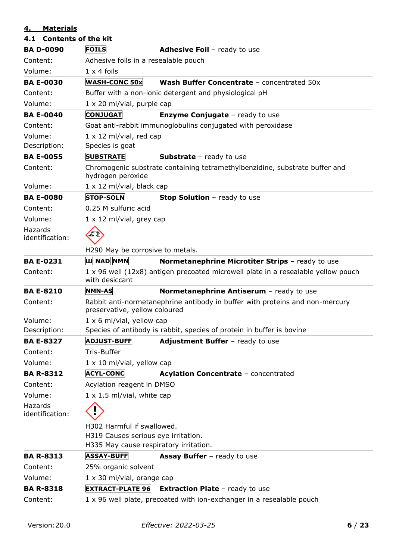# **4. Materials**

<span id="page-5-0"></span>

| 4.1 Contents of the kit    |                                                     |                                                                                   |  |  |  |
|----------------------------|-----------------------------------------------------|-----------------------------------------------------------------------------------|--|--|--|
| <b>BA D-0090</b>           | <b>FOILS</b><br><b>Adhesive Foil - ready to use</b> |                                                                                   |  |  |  |
| Content:                   | Adhesive foils in a resealable pouch                |                                                                                   |  |  |  |
| Volume:                    | $1 \times 4$ foils                                  |                                                                                   |  |  |  |
| <b>BA E-0030</b>           | <b>WASH-CONC 50x</b>                                | Wash Buffer Concentrate - concentrated 50x                                        |  |  |  |
| Content:                   |                                                     | Buffer with a non-ionic detergent and physiological pH                            |  |  |  |
| Volume:                    | $1 \times 20$ ml/vial, purple cap                   |                                                                                   |  |  |  |
| <b>BA E-0040</b>           | <b>CONJUGAT</b>                                     | <b>Enzyme Conjugate</b> - ready to use                                            |  |  |  |
| Content:                   |                                                     | Goat anti-rabbit immunoglobulins conjugated with peroxidase                       |  |  |  |
| Volume:                    | $1 \times 12$ ml/vial, red cap                      |                                                                                   |  |  |  |
| Description:               | Species is goat                                     |                                                                                   |  |  |  |
| <b>BA E-0055</b>           | <b>SUBSTRATE</b>                                    | <b>Substrate</b> - ready to use                                                   |  |  |  |
| Content:                   | hydrogen peroxide                                   | Chromogenic substrate containing tetramethylbenzidine, substrate buffer and       |  |  |  |
| Volume:                    | $1 \times 12$ ml/vial, black cap                    |                                                                                   |  |  |  |
| <b>BA E-0080</b>           | <b>STOP-SOLN</b>                                    | Stop Solution - ready to use                                                      |  |  |  |
| Content:                   | 0.25 M sulfuric acid                                |                                                                                   |  |  |  |
| Volume:                    | $1 \times 12$ ml/vial, grey cap                     |                                                                                   |  |  |  |
| Hazards<br>identification: |                                                     |                                                                                   |  |  |  |
|                            | H290 May be corrosive to metals.                    |                                                                                   |  |  |  |
| <b>BA E-0231</b>           | <b>Ш</b> NAD NMN                                    | Normetanephrine Microtiter Strips - ready to use                                  |  |  |  |
| Content:                   | with desiccant                                      | 1 x 96 well (12x8) antigen precoated microwell plate in a resealable yellow pouch |  |  |  |
| <b>BA E-8210</b>           | <b>NMN-AS</b>                                       | Normetanephrine Antiserum - ready to use                                          |  |  |  |
| Content:                   | preservative, yellow coloured                       | Rabbit anti-normetanephrine antibody in buffer with proteins and non-mercury      |  |  |  |
| Volume:                    | $1 \times 6$ ml/vial, yellow cap                    |                                                                                   |  |  |  |
| Description:               |                                                     | Species of antibody is rabbit, species of protein in buffer is bovine             |  |  |  |
| <b>BA E-8327</b>           | <b>ADJUST-BUFF</b>                                  | Adjustment Buffer - ready to use                                                  |  |  |  |
| Content:                   | Tris-Buffer                                         |                                                                                   |  |  |  |
| Volume:                    | $1 \times 10$ ml/vial, yellow cap                   |                                                                                   |  |  |  |
| <b>BA R-8312</b>           | <b>ACYL-CONC</b>                                    | Acylation Concentrate - concentrated                                              |  |  |  |
| Content:                   | Acylation reagent in DMSO                           |                                                                                   |  |  |  |
| Volume:                    | $1 \times 1.5$ ml/vial, white cap                   |                                                                                   |  |  |  |
| Hazards<br>identification: |                                                     |                                                                                   |  |  |  |
|                            | H302 Harmful if swallowed.                          |                                                                                   |  |  |  |
|                            | H319 Causes serious eye irritation.                 |                                                                                   |  |  |  |
|                            | H335 May cause respiratory irritation.              |                                                                                   |  |  |  |
| <b>BA R-8313</b>           | <b>ASSAY-BUFF</b>                                   | <b>Assay Buffer</b> - ready to use                                                |  |  |  |
| Content:                   | 25% organic solvent                                 |                                                                                   |  |  |  |
| Volume:                    | $1 \times 30$ ml/vial, orange cap                   |                                                                                   |  |  |  |
| <b>BA R-8318</b>           | <b>EXTRACT-PLATE 96</b>                             | <b>Extraction Plate - ready to use</b>                                            |  |  |  |
| Content:                   |                                                     | 1 x 96 well plate, precoated with ion-exchanger in a resealable pouch             |  |  |  |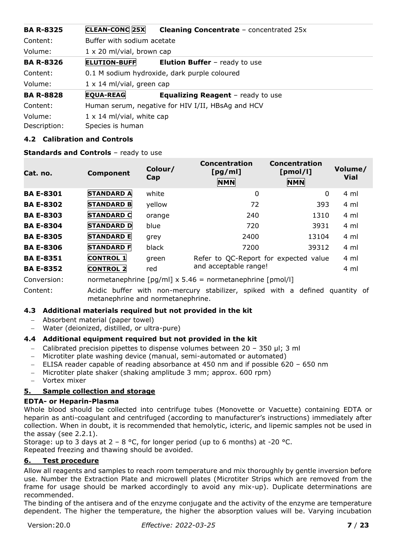| <b>BA R-8325</b> | CLEAN-CONC 25X                   | <b>Cleaning Concentrate - concentrated 25x</b>    |  |  |  |  |
|------------------|----------------------------------|---------------------------------------------------|--|--|--|--|
| Content:         |                                  | Buffer with sodium acetate                        |  |  |  |  |
| Volume:          | $1 \times 20$ ml/vial, brown cap |                                                   |  |  |  |  |
| <b>BA R-8326</b> | <b>ELUTION-BUFF</b>              | <b>Elution Buffer</b> - ready to use              |  |  |  |  |
| Content:         |                                  | 0.1 M sodium hydroxide, dark purple coloured      |  |  |  |  |
| Volume:          | $1 \times 14$ ml/vial, green cap |                                                   |  |  |  |  |
| <b>BA R-8828</b> | <b>EQUA-REAG</b>                 | <b>Equalizing Reagent</b> - ready to use          |  |  |  |  |
| Content:         |                                  | Human serum, negative for HIV I/II, HBsAg and HCV |  |  |  |  |
| Volume:          | $1 \times 14$ ml/vial, white cap |                                                   |  |  |  |  |
| Description:     | Species is human                 |                                                   |  |  |  |  |

## <span id="page-6-0"></span>**4.2 Calibration and Controls**

#### **Standards and Controls** – ready to use

| Cat. no.         | <b>Component</b>  | Colour/<br>Cap | <b>Concentration</b><br>[pg/ml]<br><b>NMN</b> | Concentration<br>[pmol/l]<br><b>NMN</b> | Volume/<br><b>Vial</b> |
|------------------|-------------------|----------------|-----------------------------------------------|-----------------------------------------|------------------------|
| <b>BA E-8301</b> | <b>STANDARD A</b> | white          | 0                                             | 0                                       | 4 ml                   |
| <b>BA E-8302</b> | <b>STANDARD B</b> | yellow         | 72                                            | 393                                     | 4 ml                   |
| <b>BA E-8303</b> | <b>STANDARD C</b> | orange         | 240                                           | 1310                                    | 4 ml                   |
| <b>BA E-8304</b> | <b>STANDARD D</b> | blue           | 720                                           | 3931                                    | 4 ml                   |
| <b>BA E-8305</b> | <b>STANDARD E</b> | grey           | 2400                                          | 13104                                   | 4 ml                   |
| <b>BA E-8306</b> | <b>STANDARD F</b> | black          | 7200                                          | 39312                                   | 4 ml                   |
| <b>BA E-8351</b> | <b>CONTROL 1</b>  | green          | Refer to QC-Report for expected value         |                                         | 4 ml                   |
| <b>BA E-8352</b> | <b>CONTROL 2</b>  | red            | and acceptable range!                         |                                         | 4 ml                   |

Conversion: normetanephrine [pg/ml] x 5.46 = normetanephrine [pmol/l]

Content: Acidic buffer with non-mercury stabilizer, spiked with a defined quantity of metanephrine and normetanephrine.

#### <span id="page-6-1"></span>**4.3 Additional materials required but not provided in the kit**

- − Absorbent material (paper towel)
- − Water (deionized, distilled, or ultra-pure)

#### <span id="page-6-2"></span>**4.4 Additional equipment required but not provided in the kit**

- − Calibrated precision pipettes to dispense volumes between 20 350 µl; 3 ml
- − Microtiter plate washing device (manual, semi-automated or automated)
- − ELISA reader capable of reading absorbance at 450 nm and if possible 620 650 nm
- − Microtiter plate shaker (shaking amplitude 3 mm; approx. 600 rpm)
- − Vortex mixer

# <span id="page-6-3"></span>**5. Sample collection and storage**

# **EDTA- or Heparin-Plasma**

Whole blood should be collected into centrifuge tubes (Monovette or Vacuette) containing EDTA or heparin as anti-coagulant and centrifuged (according to manufacturer's instructions) immediately after collection. When in doubt, it is recommended that hemolytic, icteric, and lipemic samples not be used in the assay (see 2.2.1).

Storage: up to 3 days at  $2 - 8$  °C, for longer period (up to 6 months) at -20 °C. Repeated freezing and thawing should be avoided.

#### <span id="page-6-4"></span>**6. Test procedure**

Allow all reagents and samples to reach room temperature and mix thoroughly by gentle inversion before use. Number the Extraction Plate and microwell plates (Microtiter Strips which are removed from the frame for usage should be marked accordingly to avoid any mix-up). Duplicate determinations are recommended.

The binding of the antisera and of the enzyme conjugate and the activity of the enzyme are temperature dependent. The higher the temperature, the higher the absorption values will be. Varying incubation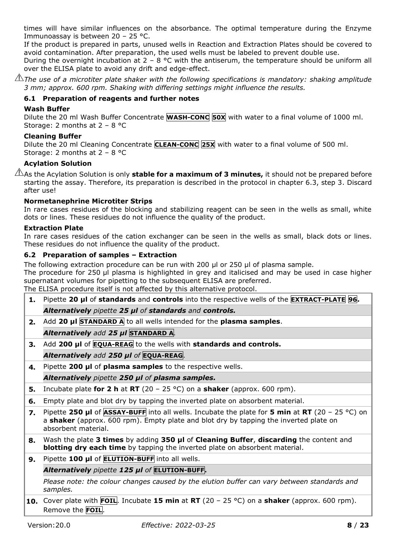times will have similar influences on the absorbance. The optimal temperature during the Enzyme Immunoassay is between 20 – 25 °C.

If the product is prepared in parts, unused wells in Reaction and Extraction Plates should be covered to avoid contamination. After preparation, the used wells must be labeled to prevent double use.

During the overnight incubation at  $2 - 8$  °C with the antiserum, the temperature should be uniform all over the ELISA plate to avoid any drift and edge-effect.

 $\mathbin{\perp\!\!\!\perp}$ The use of a microtiter plate shaker with the following specifications is mandatory: shaking amplitude *3 mm; approx. 600 rpm. Shaking with differing settings might influence the results.*

## <span id="page-7-0"></span>**6.1 Preparation of reagents and further notes**

#### **Wash Buffer**

Dilute the 20 ml Wash Buffer Concentrate **WASH-CONC 50X** with water to a final volume of 1000 ml. Storage: 2 months at 2 – 8 °C

## **Cleaning Buffer**

Dilute the 20 ml Cleaning Concentrate **CLEAN-CONC 25X** with water to a final volume of 500 ml. Storage: 2 months at 2 – 8 °C

## **Acylation Solution**

As the Acylation Solution is only **stable for a maximum of 3 minutes,** it should not be prepared before starting the assay. Therefore, its preparation is described in the protocol in chapter 6.3, step 3. Discard after use!

#### **Normetanephrine Microtiter Strips**

In rare cases residues of the blocking and stabilizing reagent can be seen in the wells as small, white dots or lines. These residues do not influence the quality of the product.

#### **Extraction Plate**

In rare cases residues of the cation exchanger can be seen in the wells as small, black dots or lines. These residues do not influence the quality of the product.

#### <span id="page-7-1"></span>**6.2 Preparation of samples – Extraction**

The following extraction procedure can be run with 200 ul or 250 ul of plasma sample.

The procedure for 250 µl plasma is highlighted in grey and italicised and may be used in case higher supernatant volumes for pipetting to the subsequent ELISA are preferred.

The ELISA procedure itself is not affected by this alternative protocol.

- **1.** Pipette **20 µl** of **standards** and **controls** into the respective wells of the **EXTRACT-PLATE 96.** *Alternatively pipette 25 µl of standards and controls.*
- **2.** Add **20 µl STANDARD A** to all wells intended for the **plasma samples**.

# *Alternatively add 25 µl* **STANDARD A***.*

**3.** Add **200 μl** of **EQUA-REAG** to the wells with **standards and controls.**

#### *Alternatively add 250 µl of* **EQUA-REAG**.

**4.** Pipette **200 μl** of **plasma samples** to the respective wells.

#### *Alternatively pipette 250 µl of plasma samples.*

- **5.** Incubate plate **for 2 h** at **RT** (20 25 °C) on a **shaker** (approx. 600 rpm).
- **6.** Empty plate and blot dry by tapping the inverted plate on absorbent material.
- **7.** Pipette **250 µl** of **ASSAY-BUFF** into all wells. Incubate the plate for **5 min** at **RT** (20 25 °C) on a **shaker** (approx. 600 rpm). Empty plate and blot dry by tapping the inverted plate on absorbent material.
- **8.** Wash the plate **3 times** by adding **350 µl** of **Cleaning Buffer**, **discarding** the content and **blotting dry each time** by tapping the inverted plate on absorbent material.

#### **9.** Pipette **100 µl** of **ELUTION-BUFF** into all wells.

# *Alternatively pipette 125 µl of* **ELUTION-BUFF.**

*Please note: the colour changes caused by the elution buffer can vary between standards and samples.*

**10.** Cover plate with **FOIL**. Incubate **15 min** at **RT** (20 – 25 °C) on a **shaker** (approx. 600 rpm). Remove the **FOIL**.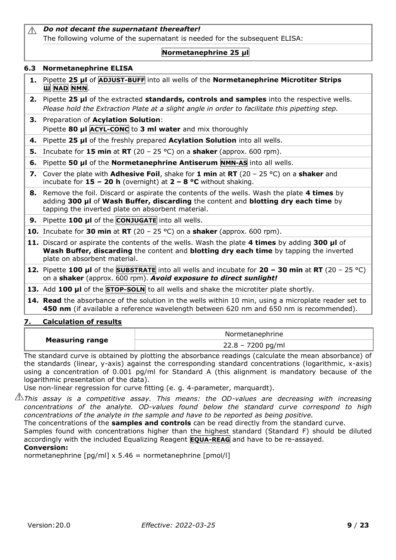#### *Do not decant the supernatant thereafter!*  $\triangle$ The following volume of the supernatant is needed for the subsequent ELISA:

# **Normetanephrine 25 µl**

## <span id="page-8-0"></span>**6.3 Normetanephrine ELISA**

- **1.** Pipette **25 µl** of **ADJUST-BUFF** into all wells of the **Normetanephrine Microtiter Strips Ш NAD NMN**.
- **2.** Pipette **25 µl** of the extracted **standards, controls and samples** into the respective wells. *Please hold the Extraction Plate at a slight angle in order to facilitate this pipetting step.*
- **3.** Preparation of **Acylation Solution**: Pipette **80 µl ACYL-CONC** to **3 ml water** and mix thoroughly
- **4.** Pipette **25 µl** of the freshly prepared **Acylation Solution** into all wells.
- **5.** Incubate for **15 min** at **RT** (20 25 °C) on a **shaker** (approx. 600 rpm).
- **6.** Pipette **50 µl** of the **Normetanephrine Antiserum NMN-AS** into all wells.
- **7.** Cover the plate with **Adhesive Foil**, shake for **1 min** at **RT** (20 25 °C) on a **shaker** and incubate for **15 – 20 h** (overnight) at **2 – 8 °C** without shaking.
- **8.** Remove the foil. Discard or aspirate the contents of the wells. Wash the plate **4 times** by adding **300 µl** of **Wash Buffer, discarding** the content and **blotting dry each time** by tapping the inverted plate on absorbent material.

**9.** Pipette **100 µl** of the **CONJUGATE** into all wells.

**10.** Incubate for **30 min** at **RT** (20 – 25 °C) on a **shaker** (approx. 600 rpm).

- **11.** Discard or aspirate the contents of the wells. Wash the plate **4 times** by adding **300 µl** of **Wash Buffer, discarding** the content and **blotting dry each time** by tapping the inverted plate on absorbent material.
- **12.** Pipette **100 µl** of the **SUBSTRATE** into all wells and incubate for **20 – 30 min** at **RT** (20 25 °C) on a **shaker** (approx. 600 rpm). *Avoid exposure to direct sunlight!*
- **13.** Add **100 µl** of the **STOP-SOLN** to all wells and shake the microtiter plate shortly.
- **14. Read** the absorbance of the solution in the wells within 10 min, using a microplate reader set to **450 nm** (if available a reference wavelength between 620 nm and 650 nm is recommended).

# <span id="page-8-1"></span>**7. Calculation of results**

|                        | Normetanephrine   |
|------------------------|-------------------|
| <b>Measuring range</b> | 22.8 - 7200 pg/ml |

The standard curve is obtained by plotting the absorbance readings (calculate the mean absorbance) of the standards (linear, y-axis) against the corresponding standard concentrations (logarithmic, x-axis) using a concentration of 0.001 pg/ml for Standard A (this alignment is mandatory because of the logarithmic presentation of the data).

Use non-linear regression for curve fitting (e. g. 4-parameter, marquardt).

*This assay is a competitive assay. This means: the OD-values are decreasing with increasing concentrations of the analyte. OD-values found below the standard curve correspond to high concentrations of the analyte in the sample and have to be reported as being positive.*

The concentrations of the **samples and controls** can be read directly from the standard curve.

Samples found with concentrations higher than the highest standard (Standard F) should be diluted accordingly with the included Equalizing Reagent **EQUA-REAG** and have to be re-assayed.

# **Conversion:**

<span id="page-8-2"></span>normetanephrine  $\lceil pq/ml \times 5.46 =$  normetanephrine  $\lceil pmol/l \rceil$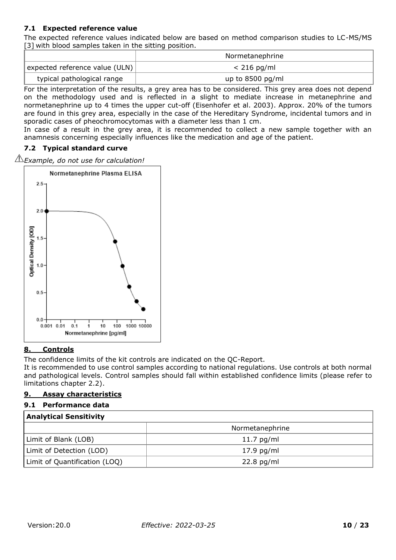# **7.1 Expected reference value**

The expected reference values indicated below are based on method comparison studies to LC-MS/MS [3] with blood samples taken in the sitting position.

|                                | Normetanephrine    |
|--------------------------------|--------------------|
| expected reference value (ULN) | $< 216$ pg/ml      |
| typical pathological range     | up to $8500$ pg/ml |

For the interpretation of the results, a grey area has to be considered. This grey area does not depend on the methodology used and is reflected in a slight to mediate increase in metanephrine and normetanephrine up to 4 times the upper cut-off (Eisenhofer et al. 2003). Approx. 20% of the tumors are found in this grey area, especially in the case of the Hereditary Syndrome, incidental tumors and in sporadic cases of pheochromocytomas with a diameter less than 1 cm.

In case of a result in the grey area, it is recommended to collect a new sample together with an anamnesis concerning especially influences like the medication and age of the patient.

## <span id="page-9-0"></span>**7.2 Typical standard curve**

*Example, do not use for calculation!* 



#### <span id="page-9-1"></span>**8. Controls**

The confidence limits of the kit controls are indicated on the QC-Report.

It is recommended to use control samples according to national regulations. Use controls at both normal and pathological levels. Control samples should fall within established confidence limits (please refer to limitations chapter 2.2).

#### <span id="page-9-2"></span>**9. Assay characteristics**

#### <span id="page-9-3"></span>**9.1 Performance data**

| <b>Analytical Sensitivity</b> |                 |  |  |  |
|-------------------------------|-----------------|--|--|--|
|                               | Normetanephrine |  |  |  |
| Limit of Blank (LOB)          | $11.7$ pg/ml    |  |  |  |
| Limit of Detection (LOD)      | $17.9$ pg/ml    |  |  |  |
| Limit of Quantification (LOQ) | $22.8$ pg/ml    |  |  |  |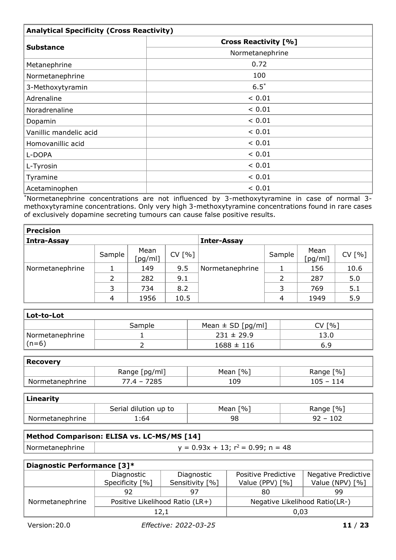| <b>Analytical Specificity (Cross Reactivity)</b> |                             |  |  |  |
|--------------------------------------------------|-----------------------------|--|--|--|
|                                                  | <b>Cross Reactivity [%]</b> |  |  |  |
| <b>Substance</b>                                 | Normetanephrine             |  |  |  |
| Metanephrine                                     | 0.72                        |  |  |  |
| Normetanephrine                                  | 100                         |  |  |  |
| 3-Methoxytyramin                                 | $6.5*$                      |  |  |  |
| Adrenaline                                       | < 0.01                      |  |  |  |
| Noradrenaline                                    | ${}< 0.01$                  |  |  |  |
| Dopamin                                          | < 0.01                      |  |  |  |
| Vanillic mandelic acid                           | < 0.01                      |  |  |  |
| Homovanillic acid                                | < 0.01                      |  |  |  |
| L-DOPA                                           | ${}< 0.01$                  |  |  |  |
| L-Tyrosin                                        | < 0.01                      |  |  |  |
| Tyramine                                         | < 0.01                      |  |  |  |
| Acetaminophen                                    | < 0.01                      |  |  |  |

\*Normetanephrine concentrations are not influenced by 3-methoxytyramine in case of normal 3 methoxytyramine concentrations. Only very high 3-methoxytyramine concentrations found in rare cases of exclusively dopamine secreting tumours can cause false positive results.

| <b>Precision</b> |                |                 |        |                    |        |                 |        |  |
|------------------|----------------|-----------------|--------|--------------------|--------|-----------------|--------|--|
| Intra-Assay      |                |                 |        | <b>Inter-Assay</b> |        |                 |        |  |
|                  | Sample         | Mean<br>[pg/ml] | CV [%] |                    | Sample | Mean<br>[pg/ml] | CV [%] |  |
| Normetanephrine  |                | 149             | 9.5    | Normetanephrine    |        | 156             | 10.6   |  |
|                  | 2              | 282             | 9.1    |                    | າ      | 287             | 5.0    |  |
|                  |                | 734             | 8.2    |                    |        | 769             | 5.1    |  |
|                  | $\overline{4}$ | 1956            | 10.5   |                    | 4      | 1949            | 5.9    |  |

| Lot-to-Lot                   |        |                       |          |  |  |  |
|------------------------------|--------|-----------------------|----------|--|--|--|
|                              | Sample | Mean $\pm$ SD [pg/ml] | [%]<br>V |  |  |  |
| <sup>1</sup> Normetanephrine |        | $231 \pm 29.9$        | 13.0     |  |  |  |
| $(n=6)$                      |        | $1688 \pm 116$        | 6.9      |  |  |  |

| Recovery        |               |            |             |  |  |  |  |
|-----------------|---------------|------------|-------------|--|--|--|--|
|                 | Range [pg/ml] | Mean $[%]$ | Range [%]   |  |  |  |  |
| Normetanephrine | 77.4 – 7285   | 109        | $105 - 114$ |  |  |  |  |

| <b>Linearity</b> |                       |                            |                            |  |
|------------------|-----------------------|----------------------------|----------------------------|--|
|                  | Serial dilution up to | $\lceil 96 \rceil$<br>Mean | $\lceil % \rceil$<br>Range |  |
| Normetanephrine  | `:64                  | 98                         | $92 - 102$                 |  |

| Method Comparison: ELISA vs. LC-MS/MS [14] |                                          |  |
|--------------------------------------------|------------------------------------------|--|
| Normetanephrine                            | $y = 0.93x + 13$ ; $r^2 = 0.99$ ; n = 48 |  |
|                                            |                                          |  |

| Diagnostic Performance [3]* |                                 |                 |                                |                     |
|-----------------------------|---------------------------------|-----------------|--------------------------------|---------------------|
|                             | Diagnostic                      | Diagnostic      | Positive Predictive            | Negative Predictive |
|                             | Specificity [%]                 | Sensitivity [%] | Value (PPV) [%]                | Value (NPV) [%]     |
|                             | 92                              | 97              | 80                             | 99.                 |
| Normetanephrine             | Positive Likelihood Ratio (LR+) |                 | Negative Likelihood Ratio(LR-) |                     |
|                             | 12,1                            |                 | 0.03                           |                     |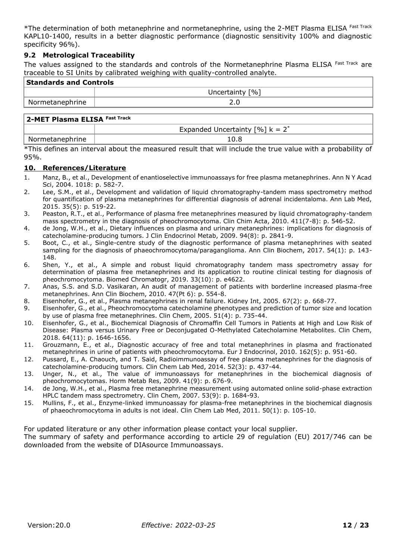\*The determination of both metanephrine and normetanephrine, using the 2-MET Plasma ELISA Fast Track KAPL10-1400, results in a better diagnostic performance (diagnostic sensitivity 100% and diagnostic specificity 96%).

#### <span id="page-11-0"></span>**9.2 Metrological Traceability**

The values assigned to the standards and controls of the Normetanephrine Plasma ELISA Fast Track are traceable to SI Units by calibrated weighing with quality-controlled analyte.

| <b>Standards and Controls</b>         |                   |  |
|---------------------------------------|-------------------|--|
|                                       | Uncertainty $[%]$ |  |
| Mormetanephrine                       | 2.0               |  |
| <b>D-MFT Plasma FI ISA Fast Track</b> |                   |  |

|              | $\rightarrow$<br>$\binom{6}{6}$ k = .<br>Expanded Uncertainty |
|--------------|---------------------------------------------------------------|
| metanephrine | 1 U.C                                                         |

\*This defines an interval about the measured result that will include the true value with a probability of 95%.

#### <span id="page-11-1"></span>**10. References/Literature**

- 1. Manz, B., et al., Development of enantioselective immunoassays for free plasma metanephrines. Ann N Y Acad Sci, 2004. 1018: p. 582-7.
- 2. Lee, S.M., et al., Development and validation of liquid chromatography-tandem mass spectrometry method for quantification of plasma metanephrines for differential diagnosis of adrenal incidentaloma. Ann Lab Med, 2015. 35(5): p. 519-22.
- 3. Peaston, R.T., et al., Performance of plasma free metanephrines measured by liquid chromatography-tandem mass spectrometry in the diagnosis of pheochromocytoma. Clin Chim Acta, 2010. 411(7-8): p. 546-52.
- 4. de Jong, W.H., et al., Dietary influences on plasma and urinary metanephrines: implications for diagnosis of catecholamine-producing tumors. J Clin Endocrinol Metab, 2009. 94(8): p. 2841-9.
- 5. Boot, C., et al., Single-centre study of the diagnostic performance of plasma metanephrines with seated sampling for the diagnosis of phaeochromocytoma/paraganglioma. Ann Clin Biochem, 2017. 54(1): p. 143- 148.
- 6. Shen, Y., et al., A simple and robust liquid chromatography tandem mass spectrometry assay for determination of plasma free metanephrines and its application to routine clinical testing for diagnosis of pheochromocytoma. Biomed Chromatogr, 2019. 33(10): p. e4622.
- 7. Anas, S.S. and S.D. Vasikaran, An audit of management of patients with borderline increased plasma-free metanephrines. Ann Clin Biochem, 2010. 47(Pt 6): p. 554-8.
- 8. Eisenhofer, G., et al., Plasma metanephrines in renal failure. Kidney Int, 2005. 67(2): p. 668-77.
- 9. Eisenhofer, G., et al., Pheochromocytoma catecholamine phenotypes and prediction of tumor size and location by use of plasma free metanephrines. Clin Chem, 2005. 51(4): p. 735-44.
- 10. Eisenhofer, G., et al., Biochemical Diagnosis of Chromaffin Cell Tumors in Patients at High and Low Risk of Disease: Plasma versus Urinary Free or Deconjugated O-Methylated Catecholamine Metabolites. Clin Chem, 2018. 64(11): p. 1646-1656.
- 11. Grouzmann, E., et al., Diagnostic accuracy of free and total metanephrines in plasma and fractionated metanephrines in urine of patients with pheochromocytoma. Eur J Endocrinol, 2010. 162(5): p. 951-60.
- 12. Pussard, E., A. Chaouch, and T. Said, Radioimmunoassay of free plasma metanephrines for the diagnosis of catecholamine-producing tumors. Clin Chem Lab Med, 2014. 52(3): p. 437-44.
- 13. Unger, N., et al., The value of immunoassays for metanephrines in the biochemical diagnosis of pheochromocytomas. Horm Metab Res, 2009. 41(9): p. 676-9.
- 14. de Jong, W.H., et al., Plasma free metanephrine measurement using automated online solid-phase extraction HPLC tandem mass spectrometry. Clin Chem, 2007. 53(9): p. 1684-93.
- 15. Mullins, F., et al., Enzyme-linked immunoassay for plasma-free metanephrines in the biochemical diagnosis of phaeochromocytoma in adults is not ideal. Clin Chem Lab Med, 2011. 50(1): p. 105-10.

<span id="page-11-2"></span>For updated literature or any other information please contact your local supplier.

The summary of safety and performance according to article 29 of regulation (EU) 2017/746 can be downloaded from the website [of](http://www.ldn.de/) DIAsource Immunoassays.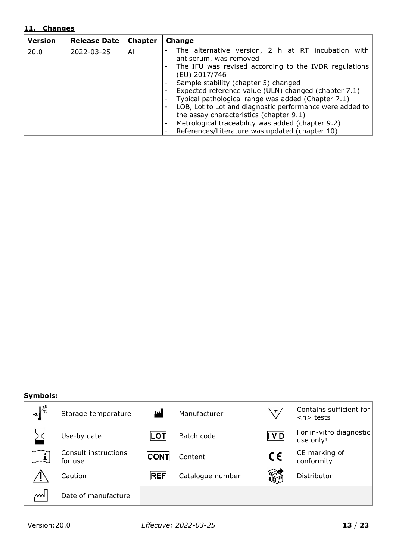## **11. Changes**

| <b>Version</b> | <b>Release Date</b> | <b>Chapter</b> | Change                                                     |
|----------------|---------------------|----------------|------------------------------------------------------------|
| 20.0           | 2022-03-25          | All            | The alternative version, 2 h at RT incubation with         |
|                |                     |                | antiserum, was removed                                     |
|                |                     |                | The IFU was revised according to the IVDR regulations<br>۰ |
|                |                     |                | (EU) 2017/746                                              |
|                |                     |                | Sample stability (chapter 5) changed                       |
|                |                     |                | Expected reference value (ULN) changed (chapter 7.1)       |
|                |                     |                | Typical pathological range was added (Chapter 7.1)         |
|                |                     |                | LOB, Lot to Lot and diagnostic performance were added to   |
|                |                     |                | the assay characteristics (chapter 9.1)                    |
|                |                     |                | Metrological traceability was added (chapter 9.2)<br>۰     |
|                |                     |                | References/Literature was updated (chapter 10)             |

#### **Symbols:**

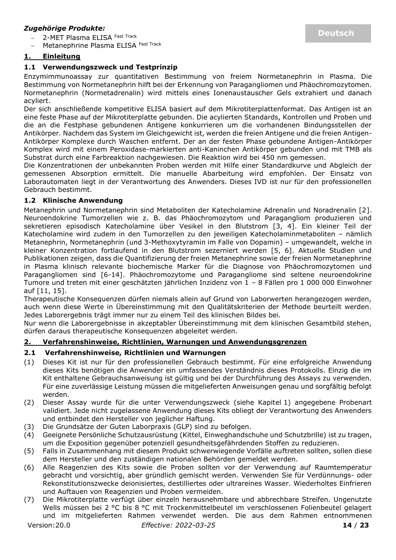#### *Zugehörige Produkte:*

2-MET Plasma ELISA Fast Track

Metanephrine Plasma ELISA Fast Track

## <span id="page-13-0"></span>**1. Einleitung**

#### <span id="page-13-1"></span>**1.1 Verwendungszweck und Testprinzip**

Enzymimmunoassay zur quantitativen Bestimmung von freiem Normetanephrin in Plasma. Die Bestimmung von Normetanephrin hilft bei der Erkennung von Paragangliomen und Phäochromozytomen. Normetanephrin (Normetadrenalin) wird mittels eines Ionenaustauscher Gels extrahiert und danach acyliert.

Der sich anschließende kompetitive ELISA basiert auf dem Mikrotiterplattenformat. Das Antigen ist an eine feste Phase auf der Mikrotiterplatte gebunden. Die acylierten Standards, Kontrollen und Proben und die an die Festphase gebundenen Antigene konkurrieren um die vorhandenen Bindungsstellen der Antikörper. Nachdem das System im Gleichgewicht ist, werden die freien Antigene und die freien Antigen-Antikörper Komplexe durch Waschen entfernt. Der an der festen Phase gebundene Antigen-Antikörper Komplex wird mit einem Peroxidase-markierten anti-Kaninchen Antikörper gebunden und mit TMB als Substrat durch eine Farbreaktion nachgewiesen. Die Reaktion wird bei 450 nm gemessen.

Die Konzentrationen der unbekannten Proben werden mit Hilfe einer Standardkurve und Abgleich der gemessenen Absorption ermittelt. Die manuelle Abarbeitung wird empfohlen. Der Einsatz von Laborautomaten liegt in der Verantwortung des Anwenders. Dieses IVD ist nur für den professionellen Gebrauch bestimmt.

#### <span id="page-13-2"></span>**1.2 Klinische Anwendung**

Metanephrin und Normetanephrin sind Metaboliten der Katecholamine Adrenalin und Noradrenalin [2]. Neuroendokrine Tumorzellen wie z. B. das Phäochromozytom und Paragangliom produzieren und sekretieren episodisch Katecholamine über Vesikel in den Blutstrom [3, 4]. Ein kleiner Teil der Katecholamine wird zudem in den Tumorzellen zu den jeweiligen Katecholaminmetaboliten – nämlich Metanephrin, Normetanephrin (und 3-Methoxytyramin im Falle von Dopamin) – umgewandelt, welche in kleiner Konzentration fortlaufend in den Blutstrom sezerniert werden [5, 6]. Aktuelle Studien und Publikationen zeigen, dass die Quantifizierung der freien Metanephrine sowie der freien Normetanephrine in Plasma klinisch relevante biochemische Marker für die Diagnose von Phäochromozytomen und Paragangliomen sind [6-14]. Phäochromozytome und Paragangliome sind seltene neuroendokrine Tumore und treten mit einer geschätzten jährlichen Inzidenz von 1 – 8 Fällen pro 1 000 000 Einwohner auf [11, 15].

Therapeutische Konsequenzen dürfen niemals allein auf Grund von Laborwerten herangezogen werden, auch wenn diese Werte in Übereinstimmung mit den Qualitätskriterien der Methode beurteilt werden. Jedes Laborergebnis trägt immer nur zu einem Teil des klinischen Bildes bei.

Nur wenn die Laborergebnisse in akzeptabler Übereinstimmung mit dem klinischen Gesamtbild stehen, dürfen daraus therapeutische Konsequenzen abgeleitet werden.

#### <span id="page-13-3"></span>**2. Verfahrenshinweise, Richtlinien, Warnungen und Anwendungsgrenzen**

#### <span id="page-13-4"></span>**2.1 Verfahrenshinweise, Richtlinien und Warnungen**

- (1) Dieses Kit ist nur für den professionellen Gebrauch bestimmt. Für eine erfolgreiche Anwendung dieses Kits benötigen die Anwender ein umfassendes Verständnis dieses Protokolls. Einzig die im Kit enthaltene Gebrauchsanweisung ist gültig und bei der Durchführung des Assays zu verwenden. Für eine zuverlässige Leistung müssen die mitgelieferten Anweisungen genau und sorgfältig befolgt werden.
- (2) Dieser Assay wurde für die unter Verwendungszweck (siehe Kapitel 1) angegebene Probenart validiert. Jede nicht zugelassene Anwendung dieses Kits obliegt der Verantwortung des Anwenders und entbindet den Hersteller von jeglicher Haftung.
- (3) Die Grundsätze der Guten Laborpraxis (GLP) sind zu befolgen.
- (4) Geeignete Persönliche Schutzausrüstung (Kittel, Einweghandschuhe und Schutzbrille) ist zu tragen, um die Exposition gegenüber potenziell gesundheitsgefährdenden Stoffen zu reduzieren.
- (5) Falls in Zusammenhang mit diesem Produkt schwerwiegende Vorfälle auftreten sollten, sollen diese dem Hersteller und den zuständigen nationalen Behörden gemeldet werden.
- (6) Alle Reagenzien des Kits sowie die Proben sollten vor der Verwendung auf Raumtemperatur gebracht und vorsichtig, aber gründlich gemischt werden. Verwenden Sie für Verdünnungs- oder Rekonstitutionszwecke deionisiertes, destilliertes oder ultrareines Wasser. Wiederholtes Einfrieren und Auftauen von Reagenzien und Proben vermeiden.
- (7) Die Mikrotiterplatte verfügt über einzeln herausnehmbare und abbrechbare Streifen. Ungenutzte Wells müssen bei 2 °C bis 8 °C mit Trockenmittelbeutel im verschlossenen Folienbeutel gelagert und im mitgelieferten Rahmen verwendet werden. Die aus dem Rahmen entnommenen

Version:20.0 *Effective: 2022-03-25* **14** / **23**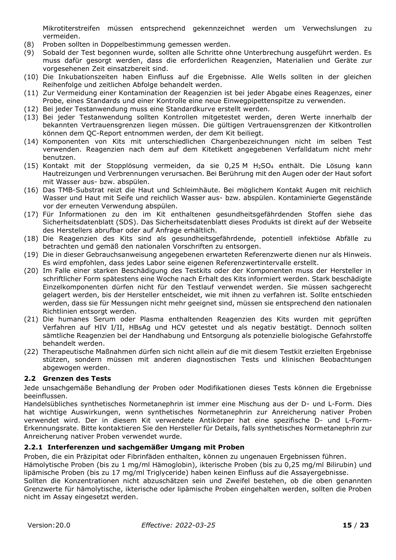Mikrotiterstreifen müssen entsprechend gekennzeichnet werden um Verwechslungen zu vermeiden.

- (8) Proben sollten in Doppelbestimmung gemessen werden.
- (9) Sobald der Test begonnen wurde, sollten alle Schritte ohne Unterbrechung ausgeführt werden. Es muss dafür gesorgt werden, dass die erforderlichen Reagenzien, Materialien und Geräte zur vorgesehenen Zeit einsatzbereit sind.
- (10) Die Inkubationszeiten haben Einfluss auf die Ergebnisse. Alle Wells sollten in der gleichen Reihenfolge und zeitlichen Abfolge behandelt werden.
- (11) Zur Vermeidung einer Kontamination der Reagenzien ist bei jeder Abgabe eines Reagenzes, einer Probe, eines Standards und einer Kontrolle eine neue Einwegpipettenspitze zu verwenden.
- (12) Bei jeder Testanwendung muss eine Standardkurve erstellt werden.
- (13) Bei jeder Testanwendung sollten Kontrollen mitgetestet werden, deren Werte innerhalb der bekannten Vertrauensgrenzen liegen müssen. Die gültigen Vertrauensgrenzen der Kitkontrollen können dem QC-Report entnommen werden, der dem Kit beiliegt.
- (14) Komponenten von Kits mit unterschiedlichen Chargenbezeichnungen nicht im selben Test verwenden. Reagenzien nach dem auf dem Kitetikett angegebenen Verfalldatum nicht mehr benutzen.
- (15) Kontakt mit der Stopplösung vermeiden, da sie 0,25 M H2SO<sup>4</sup> enthält. Die Lösung kann Hautreizungen und Verbrennungen verursachen. Bei Berührung mit den Augen oder der Haut sofort mit Wasser aus- bzw. abspülen.
- (16) Das TMB-Substrat reizt die Haut und Schleimhäute. Bei möglichem Kontakt Augen mit reichlich Wasser und Haut mit Seife und reichlich Wasser aus- bzw. abspülen. Kontaminierte Gegenstände vor der erneuten Verwendung abspülen.
- (17) Für Informationen zu den im Kit enthaltenen gesundheitsgefährdenden Stoffen siehe das Sicherheitsdatenblatt (SDS). Das Sicherheitsdatenblatt dieses Produkts ist direkt auf der Webseite des Herstellers abrufbar oder auf Anfrage erhältlich.
- (18) Die Reagenzien des Kits sind als gesundheitsgefährdende, potentiell infektiöse Abfälle zu betrachten und gemäß den nationalen Vorschriften zu entsorgen.
- (19) Die in dieser Gebrauchsanweisung angegebenen erwarteten Referenzwerte dienen nur als Hinweis. Es wird empfohlen, dass jedes Labor seine eigenen Referenzwertintervalle erstellt.
- (20) Im Falle einer starken Beschädigung des Testkits oder der Komponenten muss der Hersteller in schriftlicher Form spätestens eine Woche nach Erhalt des Kits informiert werden. Stark beschädigte Einzelkomponenten dürfen nicht für den Testlauf verwendet werden. Sie müssen sachgerecht gelagert werden, bis der Hersteller entscheidet, wie mit ihnen zu verfahren ist. Sollte entschieden werden, dass sie für Messungen nicht mehr geeignet sind, müssen sie entsprechend den nationalen Richtlinien entsorgt werden.
- (21) Die humanes Serum oder Plasma enthaltenden Reagenzien des Kits wurden mit geprüften Verfahren auf HIV I/II, HBsAg und HCV getestet und als negativ bestätigt. Dennoch sollten sämtliche Reagenzien bei der Handhabung und Entsorgung als potenzielle biologische Gefahrstoffe behandelt werden.
- (22) Therapeutische Maßnahmen dürfen sich nicht allein auf die mit diesem Testkit erzielten Ergebnisse stützen, sondern müssen mit anderen diagnostischen Tests und klinischen Beobachtungen abgewogen werden.

#### <span id="page-14-0"></span>**2.2 Grenzen des Tests**

Jede unsachgemäße Behandlung der Proben oder Modifikationen dieses Tests können die Ergebnisse beeinflussen.

Handelsübliches synthetisches Normetanephrin ist immer eine Mischung aus der D- und L-Form. Dies hat wichtige Auswirkungen, wenn synthetisches Normetanephrin zur Anreicherung nativer Proben verwendet wird. Der in diesem Kit verwendete Antikörper hat eine spezifische D- und L-Form-Erkennungsrate. Bitte kontaktieren Sie den Hersteller für Details, falls synthetisches Normetanephrin zur Anreicherung nativer Proben verwendet wurde.

#### <span id="page-14-1"></span>**2.2.1 Interferenzen und sachgemäßer Umgang mit Proben**

Proben, die ein Präzipitat oder Fibrinfäden enthalten, können zu ungenauen Ergebnissen führen.

Hämolytische Proben (bis zu 1 mg/ml Hämoglobin), ikterische Proben (bis zu 0,25 mg/ml Bilirubin) und lipämische Proben (bis zu 17 mg/ml Triglyceride) haben keinen Einfluss auf die Assayergebnisse.

Sollten die Konzentrationen nicht abzuschätzen sein und Zweifel bestehen, ob die oben genannten Grenzwerte für hämolytische, ikterische oder lipämische Proben eingehalten werden, sollten die Proben nicht im Assay eingesetzt werden.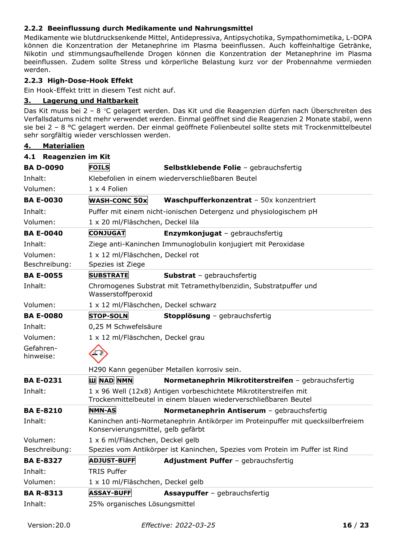## <span id="page-15-0"></span>**2.2.2 Beeinflussung durch Medikamente und Nahrungsmittel**

Medikamente wie blutdrucksenkende Mittel, Antidepressiva, Antipsychotika, Sympathomimetika, L-DOPA können die Konzentration der Metanephrine im Plasma beeinflussen. Auch koffeinhaltige Getränke, Nikotin und stimmungsaufhellende Drogen können die Konzentration der Metanephrine im Plasma beeinflussen. Zudem sollte Stress und körperliche Belastung kurz vor der Probennahme vermieden werden.

#### <span id="page-15-1"></span>**2.2.3 High-Dose-Hook Effekt**

Ein Hook-Effekt tritt in diesem Test nicht auf.

## <span id="page-15-2"></span>**3. Lagerung und Haltbarkeit**

Das Kit muss bei 2 – 8 °C gelagert werden. Das Kit und die Reagenzien dürfen nach Überschreiten des Verfallsdatums nicht mehr verwendet werden. Einmal geöffnet sind die Reagenzien 2 Monate stabil, wenn sie bei 2 – 8 °C gelagert werden. Der einmal geöffnete Folienbeutel sollte stets mit Trockenmittelbeutel sehr sorgfältig wieder verschlossen werden.

## <span id="page-15-3"></span>**4. Materialien**

<span id="page-15-4"></span>

| 4.1 Reagenzien im Kit     |                                                       |                                                                                                                                       |
|---------------------------|-------------------------------------------------------|---------------------------------------------------------------------------------------------------------------------------------------|
| <b>BA D-0090</b>          | <b>FOILS</b>                                          | Selbstklebende Folie - gebrauchsfertig                                                                                                |
| Inhalt:                   |                                                       | Klebefolien in einem wiederverschließbaren Beutel                                                                                     |
| Volumen:                  | 1 x 4 Folien                                          |                                                                                                                                       |
| <b>BA E-0030</b>          | <b>WASH-CONC 50x</b>                                  | Waschpufferkonzentrat - 50x konzentriert                                                                                              |
| Inhalt:                   |                                                       | Puffer mit einem nicht-ionischen Detergenz und physiologischem pH                                                                     |
| Volumen:                  | 1 x 20 ml/Fläschchen, Deckel lila                     |                                                                                                                                       |
| <b>BA E-0040</b>          | <b>CONJUGAT</b>                                       | Enzymkonjugat - gebrauchsfertig                                                                                                       |
| Inhalt:                   |                                                       | Ziege anti-Kaninchen Immunoglobulin konjugiert mit Peroxidase                                                                         |
| Volumen:<br>Beschreibung: | 1 x 12 ml/Fläschchen, Deckel rot<br>Spezies ist Ziege |                                                                                                                                       |
| <b>BA E-0055</b>          | <b>SUBSTRATE</b>                                      | <b>Substrat</b> - gebrauchsfertig                                                                                                     |
| Inhalt:                   | Wasserstoffperoxid                                    | Chromogenes Substrat mit Tetramethylbenzidin, Substratpuffer und                                                                      |
| Volumen:                  | 1 x 12 ml/Fläschchen, Deckel schwarz                  |                                                                                                                                       |
| <b>BA E-0080</b>          | <b>STOP-SOLN</b>                                      | Stopplösung - gebrauchsfertig                                                                                                         |
| Inhalt:                   | 0,25 M Schwefelsäure                                  |                                                                                                                                       |
| Volumen:                  | 1 x 12 ml/Fläschchen, Deckel grau                     |                                                                                                                                       |
| Gefahren-<br>hinweise:    |                                                       |                                                                                                                                       |
|                           |                                                       | H290 Kann gegenüber Metallen korrosiv sein.                                                                                           |
| <b>BA E-0231</b>          | <b>ILI NAD NMN</b>                                    | Normetanephrin Mikrotiterstreifen - gebrauchsfertig                                                                                   |
| Inhalt:                   |                                                       | 1 x 96 Well (12x8) Antigen vorbeschichtete Mikrotiterstreifen mit<br>Trockenmittelbeutel in einem blauen wiederverschließbaren Beutel |
| <b>BA E-8210</b>          | <b>NMN-AS</b>                                         | Normetanephrin Antiserum - gebrauchsfertig                                                                                            |
| Inhalt:                   | Konservierungsmittel, gelb gefärbt                    | Kaninchen anti-Normetanephrin Antikörper im Proteinpuffer mit quecksilberfreiem                                                       |
| Volumen:                  | 1 x 6 ml/Fläschchen, Deckel gelb                      |                                                                                                                                       |
| Beschreibung:             |                                                       | Spezies vom Antikörper ist Kaninchen, Spezies vom Protein im Puffer ist Rind                                                          |
| <b>BA E-8327</b>          | <b>ADJUST-BUFF</b>                                    | Adjustment Puffer - gebrauchsfertig                                                                                                   |
| Inhalt:                   | <b>TRIS Puffer</b>                                    |                                                                                                                                       |
| Volumen:                  | 1 x 10 ml/Fläschchen, Deckel gelb                     |                                                                                                                                       |
| <b>BA R-8313</b>          | <b>ASSAY-BUFF</b>                                     | <b>Assaypuffer</b> - gebrauchsfertig                                                                                                  |
| Inhalt:                   | 25% organisches Lösungsmittel                         |                                                                                                                                       |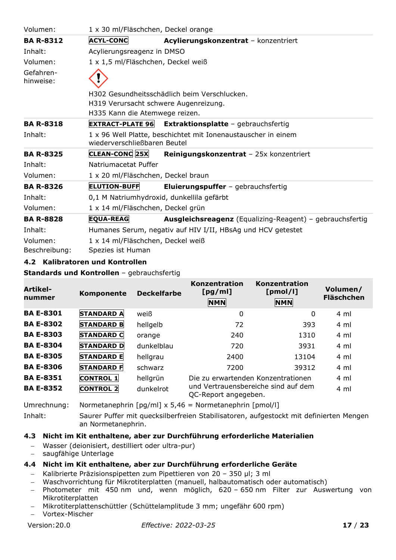| Volumen:               | 1 x 30 ml/Fläschchen, Deckel orange       |                                                                 |
|------------------------|-------------------------------------------|-----------------------------------------------------------------|
| <b>BA R-8312</b>       | <b>ACYL-CONC</b>                          | Acylierungskonzentrat - konzentriert                            |
| Inhalt:                | Acylierungsreagenz in DMSO                |                                                                 |
| Volumen:               | 1 x 1,5 ml/Fläschchen, Deckel weiß        |                                                                 |
| Gefahren-<br>hinweise: |                                           |                                                                 |
|                        |                                           | H302 Gesundheitsschädlich beim Verschlucken.                    |
|                        | H319 Verursacht schwere Augenreizung.     |                                                                 |
|                        | H335 Kann die Atemwege reizen.            |                                                                 |
| <b>BA R-8318</b>       | <b>EXTRACT-PLATE 96</b>                   | <b>Extraktionsplatte</b> - gebrauchsfertig                      |
| Inhalt:                | wiederverschließbaren Beutel              | 1 x 96 Well Platte, beschichtet mit Ionenaustauscher in einem   |
| <b>BA R-8325</b>       | CLEAN-CONC 25X                            | Reinigungskonzentrat - 25x konzentriert                         |
| Inhalt:                | Natriumacetat Puffer                      |                                                                 |
| Volumen:               | 1 x 20 ml/Fläschchen, Deckel braun        |                                                                 |
| <b>BA R-8326</b>       | <b>ELUTION-BUFF</b>                       | <b>Eluierungspuffer</b> - gebrauchsfertig                       |
| Inhalt:                | 0,1 M Natriumhydroxid, dunkellila gefärbt |                                                                 |
| Volumen:               | 1 x 14 ml/Fläschchen, Deckel grün         |                                                                 |
| <b>BA R-8828</b>       | <b>EQUA-REAG</b>                          | <b>Ausgleichsreagenz</b> (Equalizing-Reagent) - gebrauchsfertig |
| Inhalt:                |                                           | Humanes Serum, negativ auf HIV I/II, HBsAg und HCV getestet     |
| Volumen:               | 1 x 14 ml/Fläschchen, Deckel weiß         |                                                                 |
| Beschreibung:          | Spezies ist Human                         |                                                                 |

## <span id="page-16-0"></span>**4.2 Kalibratoren und Kontrollen**

**Standards und Kontrollen** – gebrauchsfertig

| Artikel-<br>nummer | Komponente        | <b>Deckelfarbe</b> | Konzentration<br>[pg/ml]<br><b>NMN</b> | <b>Konzentration</b><br>[pmol/l]<br><b>NMN</b> | Volumen/<br><b>Fläschchen</b> |
|--------------------|-------------------|--------------------|----------------------------------------|------------------------------------------------|-------------------------------|
| <b>BA E-8301</b>   | <b>STANDARD A</b> | weiß               | $\mathbf 0$                            | 0                                              | 4 ml                          |
| <b>BA E-8302</b>   | <b>STANDARD B</b> | hellgelb           | 72                                     | 393                                            | 4 ml                          |
| <b>BA E-8303</b>   | <b>STANDARD C</b> | orange             | 240                                    | 1310                                           | 4 ml                          |
| <b>BA E-8304</b>   | <b>STANDARD D</b> | dunkelblau         | 720                                    | 3931                                           | 4 ml                          |
| <b>BA E-8305</b>   | <b>STANDARD E</b> | hellgrau           | 2400                                   | 13104                                          | $4 \text{ ml}$                |
| <b>BA E-8306</b>   | <b>STANDARD F</b> | schwarz            | 7200                                   | 39312                                          | 4 ml                          |
| <b>BA E-8351</b>   | <b>CONTROL 1</b>  | hellgrün           | Die zu erwartenden Konzentrationen     |                                                | 4 ml                          |
| <b>BA E-8352</b>   | <b>CONTROL 2</b>  | dunkelrot          | QC-Report angegeben.                   | und Vertrauensbereiche sind auf dem            | 4 ml                          |

Umrechnung: Normetanephrin [pg/ml] x 5,46 = Normetanephrin [pmol/l]

Inhalt: Saurer Puffer mit quecksilberfreien Stabilisatoren, aufgestockt mit definierten Mengen an Normetanephrin.

#### <span id="page-16-1"></span>**4.3 Nicht im Kit enthaltene, aber zur Durchführung erforderliche Materialien**

- − Wasser (deionisiert, destilliert oder ultra-pur)
- − saugfähige Unterlage

#### <span id="page-16-2"></span>**4.4 Nicht im Kit enthaltene, aber zur Durchführung erforderliche Geräte**

- − Kalibrierte Präzisionspipetten zum Pipettieren von 20 350 µl; 3 ml
- − Waschvorrichtung für Mikrotiterplatten (manuell, halbautomatisch oder automatisch)
- − Photometer mit 450 nm und, wenn möglich, 620 650 nm Filter zur Auswertung von Mikrotiterplatten
- − Mikrotiterplattenschüttler (Schüttelamplitude 3 mm; ungefähr 600 rpm)
- − Vortex-Mischer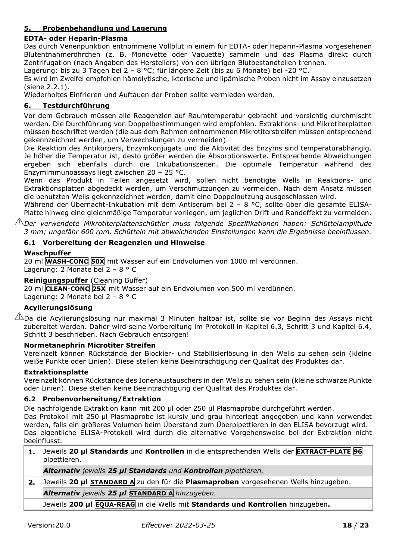## <span id="page-17-0"></span>**5. Probenbehandlung und Lagerung**

#### **EDTA- oder Heparin-Plasma**

Das durch Venenpunktion entnommene Vollblut in einem für EDTA- oder Heparin-Plasma vorgesehenen Blutentnahmeröhrchen (z. B. Monovette oder Vacuette) sammeln und das Plasma direkt durch Zentrifugation (nach Angaben des Herstellers) von den übrigen Blutbestandteilen trennen.

Lagerung: bis zu 3 Tagen bei 2 – 8 °C; für längere Zeit (bis zu 6 Monate) bei -20 °C.

Es wird im Zweifel empfohlen hämolytische, ikterische und lipämische Proben nicht im Assay einzusetzen (siehe 2.2.1).

Wiederholtes Einfrieren und Auftauen der Proben sollte vermieden werden.

## <span id="page-17-1"></span>**6. Testdurchführung**

Vor dem Gebrauch müssen alle Reagenzien auf Raumtemperatur gebracht und vorsichtig durchmischt werden. Die Durchführung von Doppelbestimmungen wird empfohlen. Extraktions- und Mikrotiterplatten müssen beschriftet werden (die aus dem Rahmen entnommenen Mikrotiterstreifen müssen entsprechend gekennzeichnet werden, um Verwechslungen zu vermeiden).

Die Reaktion des Antikörpers, Enzymkonjugats und die Aktivität des Enzyms sind temperaturabhängig. Je höher die Temperatur ist, desto größer werden die Absorptionswerte. Entsprechende Abweichungen ergeben sich ebenfalls durch die Inkubationszeiten. Die optimale Temperatur während des Enzymimmunoassays liegt zwischen 20 – 25 °C.

Wenn das Produkt in Teilen angesetzt wird, sollen nicht benötigte Wells in Reaktions- und Extraktionsplatten abgedeckt werden, um Verschmutzungen zu vermeiden. Nach dem Ansatz müssen die benutzten Wells gekennzeichnet werden, damit eine Doppelnutzung ausgeschlossen wird.

Während der Übernacht-Inkubation mit dem Antiserum bei 2 – 8 °C, sollte über die gesamte ELISA-Platte hinweg eine gleichmäßige Temperatur vorliegen, um jeglichen Drift und Randeffekt zu vermeiden.

*Der verwendete Mikrotiterplattenschüttler muss folgende Spezifikationen haben: Schüttelamplitude 3 mm; ungefähr 600 rpm. Schütteln mit abweichenden Einstellungen kann die Ergebnisse beeinflussen.* 

#### <span id="page-17-2"></span>**6.1 Vorbereitung der Reagenzien und Hinweise**

#### **Waschpuffer**

20 ml **WASH-CONC 50X** mit Wasser auf ein Endvolumen von 1000 ml verdünnen. Lagerung: 2 Monate bei 2 – 8 ° C

# **Reinigungspuffer** (Cleaning Buffer)

20 ml **CLEAN-CONC 25X** mit Wasser auf ein Endvolumen von 500 ml verdünnen.

Lagerung: 2 Monate bei 2 – 8 ° C

## **Acylierungslösung**

 $\sqrt{N}$ Da die Acylierungslösung nur maximal 3 Minuten haltbar ist, sollte sie vor Beginn des Assays nicht zubereitet werden. Daher wird seine Vorbereitung im Protokoll in Kapitel 6.3, Schritt 3 und Kapitel 6.4, Schritt 3 beschrieben. Nach Gebrauch entsorgen!

#### **Normetanephrin Microtiter Streifen**

Vereinzelt können Rückstände der Blockier- und Stabilisierlösung in den Wells zu sehen sein (kleine weiße Punkte oder Linien). Diese stellen keine Beeinträchtigung der Qualität des Produktes dar.

#### **Extraktionsplatte**

Vereinzelt können Rückstände des Ionenaustauschers in den Wells zu sehen sein (kleine schwarze Punkte oder Linien). Diese stellen keine Beeinträchtigung der Qualität des Produktes dar.

#### <span id="page-17-3"></span>**6.2 Probenvorbereitung/Extraktion**

Die nachfolgende Extraktion kann mit 200 µl oder 250 µl Plasmaprobe durchgeführt werden.

Das Protokoll mit 250 µl Plasmaprobe ist kursiv und grau hinterlegt angegeben und kann verwendet werden, falls ein größeres Volumen beim Überstand zum Überpipettieren in den ELISA bevorzugt wird. Das eigentliche ELISA-Protokoll wird durch die alternative Vorgehensweise bei der Extraktion nicht beeinflusst.

**1.** Jeweils **20 µl Standards** und **Kontrollen** in die entsprechenden Wells der **EXTRACT-PLATE 96** pipettieren.

*Alternativ jeweils 25 µl Standards und Kontrollen pipettieren.*

**2.** Jeweils **20 µl STANDARD A** zu den für die **Plasmaproben** vorgesehenen Wells hinzugeben.

*Alternativ jeweils 25 µl* **STANDARD A** *hinzugeben.*

Jeweils **200 μl EQUA-REAG** in die Wells mit **Standards und Kontrollen** hinzugeben**.**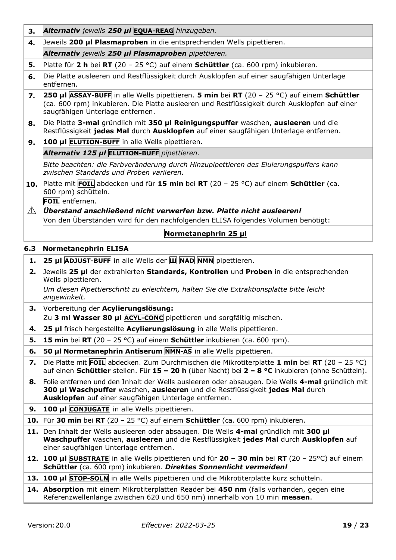- **3.** *Alternativ jeweils 250 µl* **EQUA-REAG** *hinzugeben.*
- **4.** Jeweils **200 µl Plasmaproben** in die entsprechenden Wells pipettieren.
- *Alternativ jeweils 250 µl Plasmaproben pipettieren.*
- **5.** Platte für **2 h** bei **RT** (20 25 °C) auf einem **Schüttler** (ca. 600 rpm) inkubieren.
- **6.** Die Platte ausleeren und Restflüssigkeit durch Ausklopfen auf einer saugfähigen Unterlage entfernen.
- **7. 250 µl ASSAY-BUFF** in alle Wells pipettieren. **5 min** bei **RT** (20 25 °C) auf einem **Schüttler** (ca. 600 rpm) inkubieren. Die Platte ausleeren und Restflüssigkeit durch Ausklopfen auf einer saugfähigen Unterlage entfernen.
- **8.** Die Platte **3-mal** gründlich mit **350 µl Reinigungspuffer** waschen, **ausleeren** und die Restflüssigkeit **jedes Mal** durch **Ausklopfen** auf einer saugfähigen Unterlage entfernen.
- **9. 100 µl ELUTION-BUFF** in alle Wells pipettieren.

*Alternativ 125 µl* **ELUTION-BUFF** *pipettieren.*

*Bitte beachten: die Farbveränderung durch Hinzupipettieren des Eluierungspuffers kann zwischen Standards und Proben variieren.*

**10.** Platte mit **FOIL** abdecken und für **15 min** bei **RT** (20 – 25 °C) auf einem **Schüttler** (ca. 600 rpm) schütteln.

**FOIL** entfernen.

*Überstand anschließend nicht verwerfen bzw. Platte nicht ausleeren!* Von den Überständen wird für den nachfolgenden ELISA folgendes Volumen benötigt:

# **Normetanephrin 25 μl**

#### <span id="page-18-0"></span>**6.3 Normetanephrin ELISA**

- **1. 25 µl ADJUST-BUFF** in alle Wells der **Ш NAD NMN** pipettieren.
- **2.** Jeweils **25 µl** der extrahierten **Standards, Kontrollen** und **Proben** in die entsprechenden Wells pipettieren.

*Um diesen Pipettierschritt zu erleichtern, halten Sie die Extraktionsplatte bitte leicht angewinkelt.*

- **3.** Vorbereitung der **Acylierungslösung:** Zu **3 ml Wasser 80 µl ACYL-CONC** pipettieren und sorgfältig mischen.
- **4. 25 µl** frisch hergestellte **Acylierungslösung** in alle Wells pipettieren.
- **5. 15 min** bei **RT** (20 25 °C) auf einem **Schüttler** inkubieren (ca. 600 rpm).
- **6. 50 µl Normetanephrin Antiserum NMN-AS** in alle Wells pipettieren.
- **7.** Die Platte mit **FOIL** abdecken. Zum Durchmischen die Mikrotiterplatte **1 min** bei **RT** (20 25 °C) auf einen **Schüttler** stellen. Für **15 – 20 h** (über Nacht) bei **2 – 8 °C** inkubieren (ohne Schütteln).
- **8.** Folie entfernen und den Inhalt der Wells ausleeren oder absaugen. Die Wells **4-mal** gründlich mit **300 µl Waschpuffer** waschen, **ausleeren** und die Restflüssigkeit **jedes Mal** durch **Ausklopfen** auf einer saugfähigen Unterlage entfernen.
- **9. 100 µl CONJUGATE** in alle Wells pipettieren.

**10.** Für **30 min** bei **RT** (20 – 25 °C) auf einem **Schüttler** (ca. 600 rpm) inkubieren.

- **11.** Den Inhalt der Wells ausleeren oder absaugen. Die Wells **4-mal** gründlich mit **300 µl Waschpuffer** waschen, **ausleeren** und die Restflüssigkeit **jedes Mal** durch **Ausklopfen** auf einer saugfähigen Unterlage entfernen.
- **12. 100 µl SUBSTRATE** in alle Wells pipettieren und für **20 – 30 min** bei **RT** (20 25°C) auf einem **Schüttler** (ca. 600 rpm) inkubieren. *Direktes Sonnenlicht vermeiden!*
- **13. 100 µl STOP-SOLN** in alle Wells pipettieren und die Mikrotiterplatte kurz schütteln.
- **14. Absorption** mit einem Mikrotiterplatten Reader bei **450 nm** (falls vorhanden, gegen eine Referenzwellenlänge zwischen 620 und 650 nm) innerhalb von 10 min **messen**.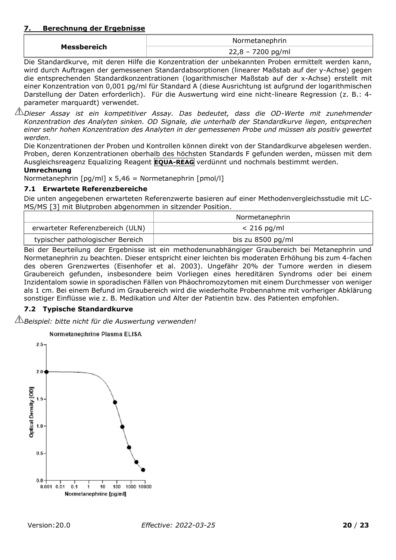#### <span id="page-19-0"></span>**7. Berechnung der Ergebnisse**

|             | Normetanephrin      |
|-------------|---------------------|
| Messbereich | $22,8 - 7200$ pg/ml |

Die Standardkurve, mit deren Hilfe die Konzentration der unbekannten Proben ermittelt werden kann, wird durch Auftragen der gemessenen Standardabsorptionen (linearer Maßstab auf der y-Achse) gegen die entsprechenden Standardkonzentrationen (logarithmischer Maßstab auf der x-Achse) erstellt mit einer Konzentration von 0,001 pg/ml für Standard A (diese Ausrichtung ist aufgrund der logarithmischen Darstellung der Daten erforderlich). Für die Auswertung wird eine nicht-lineare Regression (z. B.: 4 parameter marquardt) verwendet.

*Dieser Assay ist ein kompetitiver Assay. Das bedeutet, dass die OD-Werte mit zunehmender Konzentration des Analyten sinken. OD Signale, die unterhalb der Standardkurve liegen, entsprechen einer sehr hohen Konzentration des Analyten in der gemessenen Probe und müssen als positiv gewertet werden.*

Die Konzentrationen der Proben und Kontrollen können direkt von der Standardkurve abgelesen werden. Proben, deren Konzentrationen oberhalb des höchsten Standards F gefunden werden, müssen mit dem Ausgleichsreagenz Equalizing Reagent **EQUA-REAG** verdünnt und nochmals bestimmt werden.

#### **Umrechnung**

Normetanephrin [pg/ml] x 5,46 = Normetanephrin [pmol/l]

## <span id="page-19-1"></span>**7.1 Erwartete Referenzbereiche**

Die unten angegebenen erwarteten Referenzwerte basieren auf einer Methodenvergleichsstudie mit LC-MS/MS [3] mit Blutproben abgenommen in sitzender Position.

|                                  | Normetanephrin    |
|----------------------------------|-------------------|
| erwarteter Referenzbereich (ULN) | $< 216$ pg/ml     |
| typischer pathologischer Bereich | bis zu 8500 pg/ml |

Bei der Beurteilung der Ergebnisse ist ein methodenunabhängiger Graubereich bei Metanephrin und Normetanephrin zu beachten. Dieser entspricht einer leichten bis moderaten Erhöhung bis zum 4-fachen des oberen Grenzwertes (Eisenhofer et al. 2003). Ungefähr 20% der Tumore werden in diesem Graubereich gefunden, insbesondere beim Vorliegen eines hereditären Syndroms oder bei einem Inzidentalom sowie in sporadischen Fällen von Phäochromozytomen mit einem Durchmesser von weniger als 1 cm. Bei einem Befund im Graubereich wird die wiederholte Probennahme mit vorheriger Abklärung sonstiger Einflüsse wie z. B. Medikation und Alter der Patientin bzw. des Patienten empfohlen.

# <span id="page-19-2"></span>**7.2 Typische Standardkurve**

*Beispiel: bitte nicht für die Auswertung verwenden!*

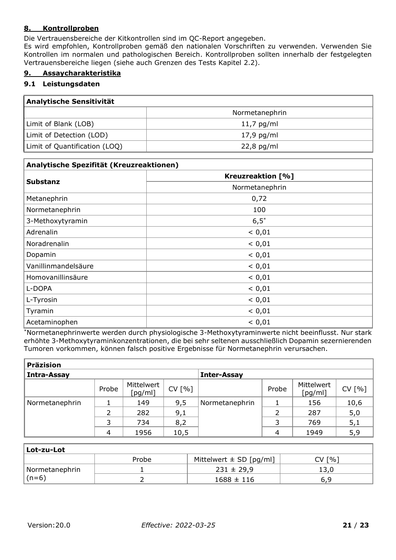## <span id="page-20-0"></span>**8. Kontrollproben**

Die Vertrauensbereiche der Kitkontrollen sind im QC-Report angegeben.

Es wird empfohlen, Kontrollproben gemäß den nationalen Vorschriften zu verwenden. Verwenden Sie Kontrollen im normalen und pathologischen Bereich. Kontrollproben sollten innerhalb der festgelegten Vertrauensbereiche liegen (siehe auch Grenzen des Tests Kapitel 2.2).

## <span id="page-20-1"></span>**9. Assaycharakteristika**

#### <span id="page-20-2"></span>**9.1 Leistungsdaten**

| Analytische Sensitivität      |                |  |
|-------------------------------|----------------|--|
|                               | Normetanephrin |  |
| Limit of Blank (LOB)          | $11,7$ pg/ml   |  |
| Limit of Detection (LOD)      | $17,9$ pg/ml   |  |
| Limit of Quantification (LOQ) | $22,8$ pg/ml   |  |

| Analytische Spezifität (Kreuzreaktionen) |                          |  |  |
|------------------------------------------|--------------------------|--|--|
|                                          | <b>Kreuzreaktion [%]</b> |  |  |
| <b>Substanz</b>                          | Normetanephrin           |  |  |
| Metanephrin                              | 0,72                     |  |  |
| Normetanephrin                           | 100                      |  |  |
| 3-Methoxytyramin                         | $6,5^*$                  |  |  |
| Adrenalin                                | < 0,01                   |  |  |
| Noradrenalin                             | < 0,01                   |  |  |
| Dopamin                                  | < 0,01                   |  |  |
| Vanillinmandelsäure                      | < 0,01                   |  |  |
| Homovanillinsäure                        | < 0,01                   |  |  |
| L-DOPA                                   | < 0,01                   |  |  |
| L-Tyrosin                                | < 0,01                   |  |  |
| Tyramin                                  | < 0,01                   |  |  |
| Acetaminophen                            | < 0.01                   |  |  |

\*Normetanephrinwerte werden durch physiologische 3-Methoxytyraminwerte nicht beeinflusst. Nur stark erhöhte 3-Methoxytyraminkonzentrationen, die bei sehr seltenen ausschließlich Dopamin sezernierenden Tumoren vorkommen, können falsch positive Ergebnisse für Normetanephrin verursachen.

| <b>Präzision</b>   |       |                       |                    |                |       |                       |        |
|--------------------|-------|-----------------------|--------------------|----------------|-------|-----------------------|--------|
| <b>Intra-Assay</b> |       |                       | <b>Inter-Assay</b> |                |       |                       |        |
|                    | Probe | Mittelwert<br>[pg/ml] | CV [%]             |                | Probe | Mittelwert<br>[pg/ml] | CV [%] |
| Normetanephrin     |       | 149                   | 9,5                | Normetanephrin |       | 156                   | 10,6   |
|                    |       | 282                   | 9,1                |                |       | 287                   | 5,0    |
|                    | 3     | 734                   | 8,2                |                | 3     | 769                   | 5,1    |
|                    | 4     | 1956                  | 10,5               |                | 4     | 1949                  | 5,9    |

| Lot-zu-Lot     |       |                             |                        |  |  |
|----------------|-------|-----------------------------|------------------------|--|--|
|                | Probe | Mittelwert $\pm$ SD [pg/ml] | $\lceil % \rceil$<br>V |  |  |
| Normetanephrin |       | $231 \pm 29.9$              |                        |  |  |
| $\vert$ (n=6)  |       | $1688 \pm 116$              | 6.9                    |  |  |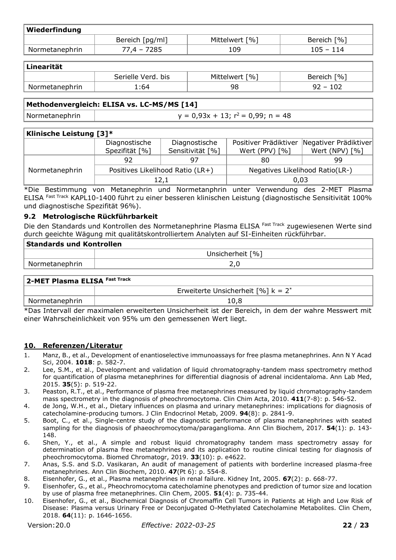| Wiederfindung  |                 |                |             |  |  |  |
|----------------|-----------------|----------------|-------------|--|--|--|
|                | Bereich [pg/ml] | Mittelwert [%] | Bereich [%] |  |  |  |
| Normetanephrin | 77,4 - 7285     | .09            | $105 - 114$ |  |  |  |

| <b>Linearität</b> |                    |                |             |  |  |
|-------------------|--------------------|----------------|-------------|--|--|
|                   | Serielle Verd. bis | Mittelwert [%] | Bereich [%] |  |  |
| Normetanephrin    | 64:،               | 98             | $92 - 102$  |  |  |

#### **Methodenvergleich: ELISA vs. LC-MS/MS [14]**

Normetanephrin  $y = 0.93x + 13; r^2 = 0.99; n = 48$ 

#### **Klinische Leistung [3]\***

|                | Diagnostische                    | Diagnostische    | Positiver Prädiktiver           | Negativer Prädiktiver |  |  |  |
|----------------|----------------------------------|------------------|---------------------------------|-----------------------|--|--|--|
|                | Spezifität [%]                   | Sensitivität [%] | Wert (PPV) $[%]$                | Wert (NPV) $[%]$      |  |  |  |
|                | 92                               | 97               | 80                              | 99                    |  |  |  |
| Normetanephrin | Positives Likelihood Ratio (LR+) |                  | Negatives Likelihood Ratio(LR-) |                       |  |  |  |
|                | 12,1                             |                  | 0.03                            |                       |  |  |  |

\*Die Bestimmung von Metanephrin und Normetanphrin unter Verwendung des 2-MET Plasma ELISA Fast Track KAPL10-1400 führt zu einer besseren klinischen Leistung (diagnostische Sensitivität 100% und diagnostische Spezifität 96%).

#### <span id="page-21-0"></span>**9.2 Metrologische Rückführbarkeit**

Die den Standards und Kontrollen des Normetanephrine Plasma ELISA Fast Track zugewiesenen Werte sind durch geeichte Wägung mit qualitätskontrolliertem Analyten auf SI-Einheiten rückführbar.

| <b>Standards und Kontrollen</b> |                  |  |  |  |
|---------------------------------|------------------|--|--|--|
|                                 | Unsicherheit [%] |  |  |  |
| Normetanephrin                  |                  |  |  |  |
|                                 |                  |  |  |  |

| 2-MET Plasma ELISA Fast Track |                                       |  |  |  |  |
|-------------------------------|---------------------------------------|--|--|--|--|
|                               | Erweiterte Unsicherheit [%] $k = 2^*$ |  |  |  |  |
| Normetanephrin                | 10,8                                  |  |  |  |  |

\*Das Intervall der maximalen erweiterten Unsicherheit ist der Bereich, in dem der wahre Messwert mit einer Wahrscheinlichkeit von 95% um den gemessenen Wert liegt.

#### <span id="page-21-1"></span>**10. Referenzen/Literatur**

- 1. Manz, B., et al., Development of enantioselective immunoassays for free plasma metanephrines. Ann N Y Acad Sci, 2004. **1018**: p. 582-7.
- 2. Lee, S.M., et al., Development and validation of liquid chromatography-tandem mass spectrometry method for quantification of plasma metanephrines for differential diagnosis of adrenal incidentaloma. Ann Lab Med, 2015. **35**(5): p. 519-22.
- 3. Peaston, R.T., et al., Performance of plasma free metanephrines measured by liquid chromatography-tandem mass spectrometry in the diagnosis of pheochromocytoma. Clin Chim Acta, 2010. **411**(7-8): p. 546-52.
- 4. de Jong, W.H., et al., Dietary influences on plasma and urinary metanephrines: implications for diagnosis of catecholamine-producing tumors. J Clin Endocrinol Metab, 2009. **94**(8): p. 2841-9.
- 5. Boot, C., et al., Single-centre study of the diagnostic performance of plasma metanephrines with seated sampling for the diagnosis of phaeochromocytoma/paraganglioma. Ann Clin Biochem, 2017. **54**(1): p. 143- 148.
- 6. Shen, Y., et al., A simple and robust liquid chromatography tandem mass spectrometry assay for determination of plasma free metanephrines and its application to routine clinical testing for diagnosis of pheochromocytoma. Biomed Chromatogr, 2019. **33**(10): p. e4622.
- 7. Anas, S.S. and S.D. Vasikaran, An audit of management of patients with borderline increased plasma-free metanephrines. Ann Clin Biochem, 2010. **47**(Pt 6): p. 554-8.
- 8. Eisenhofer, G., et al., Plasma metanephrines in renal failure. Kidney Int, 2005. **67**(2): p. 668-77.
- 9. Eisenhofer, G., et al., Pheochromocytoma catecholamine phenotypes and prediction of tumor size and location by use of plasma free metanephrines. Clin Chem, 2005. **51**(4): p. 735-44.
- 10. Eisenhofer, G., et al., Biochemical Diagnosis of Chromaffin Cell Tumors in Patients at High and Low Risk of Disease: Plasma versus Urinary Free or Deconjugated O-Methylated Catecholamine Metabolites. Clin Chem, 2018. **64**(11): p. 1646-1656.